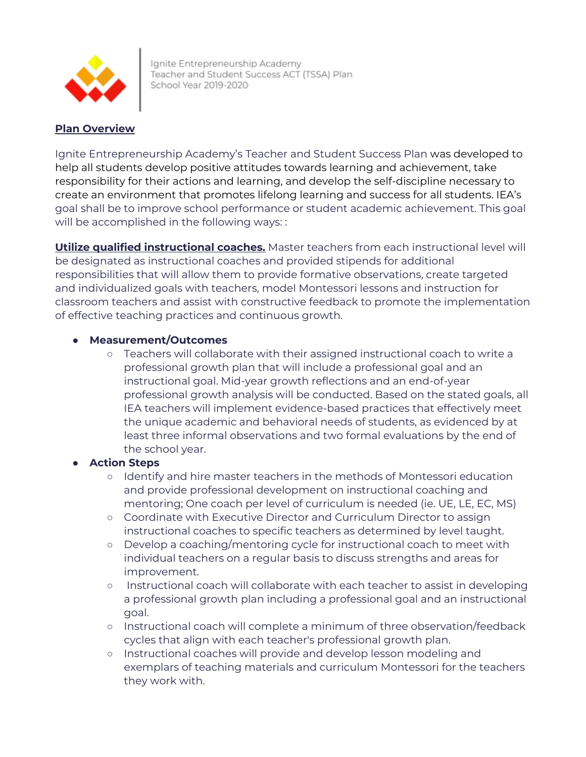

Ignite Entrepreneurship Academy Teacher and Student Success ACT (TSSA) Plan School Year 2019-2020

# **Plan Overview**

Ignite Entrepreneurship Academy's Teacher and Student Success Plan was developed to help all students develop positive attitudes towards learning and achievement, take responsibility for their actions and learning, and develop the self-discipline necessary to create an environment that promotes lifelong learning and success for all students. IEA's goal shall be to improve school performance or student academic achievement. This goal will be accomplished in the following ways: :

**Utilize qualified instructional coaches.** Master teachers from each instructional level will be designated as instructional coaches and provided stipends for additional responsibilities that will allow them to provide formative observations, create targeted and individualized goals with teachers, model Montessori lessons and instruction for classroom teachers and assist with constructive feedback to promote the implementation of effective teaching practices and continuous growth.

# ● **Measurement/Outcomes**

○ Teachers will collaborate with their assigned instructional coach to write a professional growth plan that will include a professional goal and an instructional goal. Mid-year growth reflections and an end-of-year professional growth analysis will be conducted. Based on the stated goals, all IEA teachers will implement evidence-based practices that effectively meet the unique academic and behavioral needs of students, as evidenced by at least three informal observations and two formal evaluations by the end of the school year.

- **○** Identify and hire master teachers in the methods of Montessori education and provide professional development on instructional coaching and mentoring; One coach per level of curriculum is needed (ie. UE, LE, EC, MS)
- **○** Coordinate with Executive Director and Curriculum Director to assign instructional coaches to specific teachers as determined by level taught.
- **○** Develop a coaching/mentoring cycle for instructional coach to meet with individual teachers on a regular basis to discuss strengths and areas for improvement.
- **○** Instructional coach will collaborate with each teacher to assist in developing a professional growth plan including a professional goal and an instructional goal.
- **○** Instructional coach will complete a minimum of three observation/feedback cycles that align with each teacher's professional growth plan.
- **○** Instructional coaches will provide and develop lesson modeling and exemplars of teaching materials and curriculum Montessori for the teachers they work with.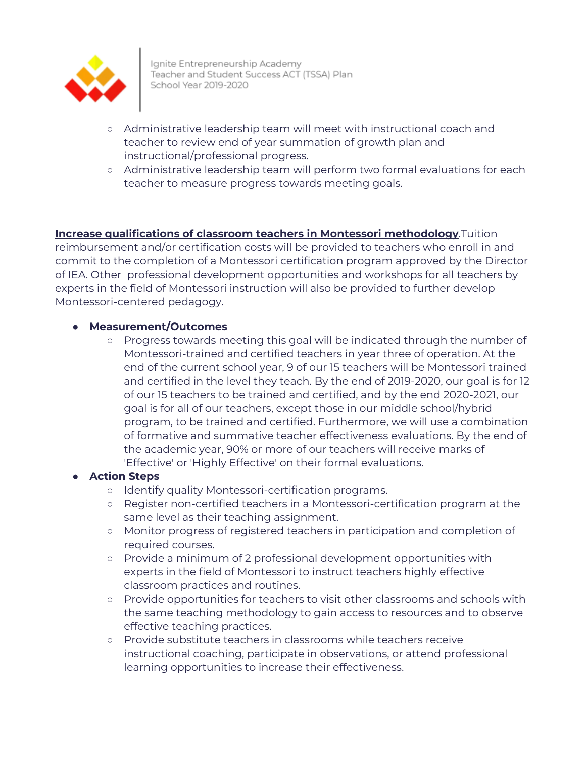

Ignite Entrepreneurship Academy Teacher and Student Success ACT (TSSA) Plan School Year 2019-2020

- **○** Administrative leadership team will meet with instructional coach and teacher to review end of year summation of growth plan and instructional/professional progress.
- **○** Administrative leadership team will perform two formal evaluations for each teacher to measure progress towards meeting goals.

# **Increase qualifications of classroom teachers in Montessori methodology**.Tuition

reimbursement and/or certification costs will be provided to teachers who enroll in and commit to the completion of a Montessori certification program approved by the Director of IEA. Other professional development opportunities and workshops for all teachers by experts in the field of Montessori instruction will also be provided to further develop Montessori-centered pedagogy.

#### ● **Measurement/Outcomes**

○ Progress towards meeting this goal will be indicated through the number of Montessori-trained and certified teachers in year three of operation. At the end of the current school year, 9 of our 15 teachers will be Montessori trained and certified in the level they teach. By the end of 2019-2020, our goal is for 12 of our 15 teachers to be trained and certified, and by the end 2020-2021, our goal is for all of our teachers, except those in our middle school/hybrid program, to be trained and certified. Furthermore, we will use a combination of formative and summative teacher effectiveness evaluations. By the end of the academic year, 90% or more of our teachers will receive marks of 'Effective' or 'Highly Effective' on their formal evaluations.

- **○** Identify quality Montessori-certification programs.
- **○** Register non-certified teachers in a Montessori-certification program at the same level as their teaching assignment.
- **○** Monitor progress of registered teachers in participation and completion of required courses.
- **○** Provide a minimum of 2 professional development opportunities with experts in the field of Montessori to instruct teachers highly effective classroom practices and routines.
- **○** Provide opportunities for teachers to visit other classrooms and schools with the same teaching methodology to gain access to resources and to observe effective teaching practices.
- **○** Provide substitute teachers in classrooms while teachers receive instructional coaching, participate in observations, or attend professional learning opportunities to increase their effectiveness.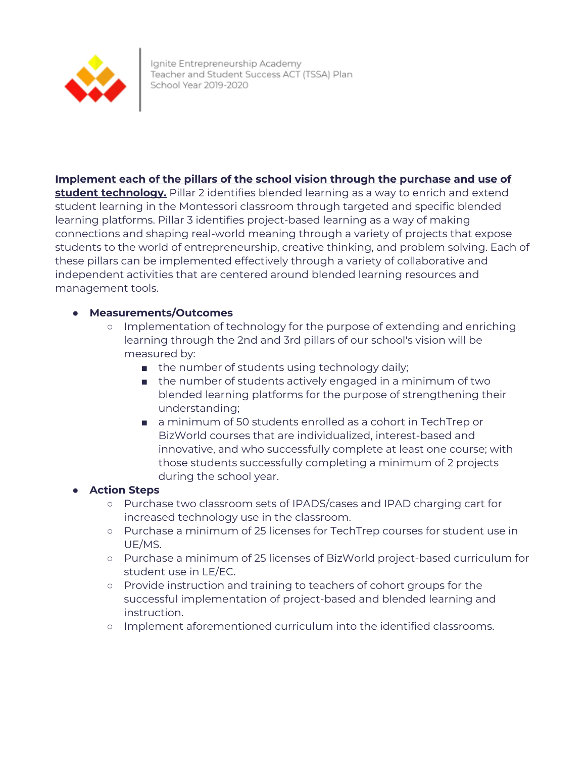

## **Implement each of the pillars of the school vision through the purchase and use of**

**student technology.** Pillar 2 identifies blended learning as a way to enrich and extend student learning in the Montessori classroom through targeted and specific blended learning platforms. Pillar 3 identifies project-based learning as a way of making connections and shaping real-world meaning through a variety of projects that expose students to the world of entrepreneurship, creative thinking, and problem solving. Each of these pillars can be implemented effectively through a variety of collaborative and independent activities that are centered around blended learning resources and management tools.

### ● **Measurements/Outcomes**

- Implementation of technology for the purpose of extending and enriching learning through the 2nd and 3rd pillars of our school's vision will be measured by:
	- the number of students using technology daily;
	- the number of students actively engaged in a minimum of two blended learning platforms for the purpose of strengthening their understanding;
	- a minimum of 50 students enrolled as a cohort in TechTrep or BizWorld courses that are individualized, interest-based and innovative, and who successfully complete at least one course; with those students successfully completing a minimum of 2 projects during the school year.

- **○** Purchase two classroom sets of IPADS/cases and IPAD charging cart for increased technology use in the classroom.
- **○** Purchase a minimum of 25 licenses for TechTrep courses for student use in UE/MS.
- **○** Purchase a minimum of 25 licenses of BizWorld project-based curriculum for student use in LE/EC.
- **○** Provide instruction and training to teachers of cohort groups for the successful implementation of project-based and blended learning and instruction.
- **○** Implement aforementioned curriculum into the identified classrooms.